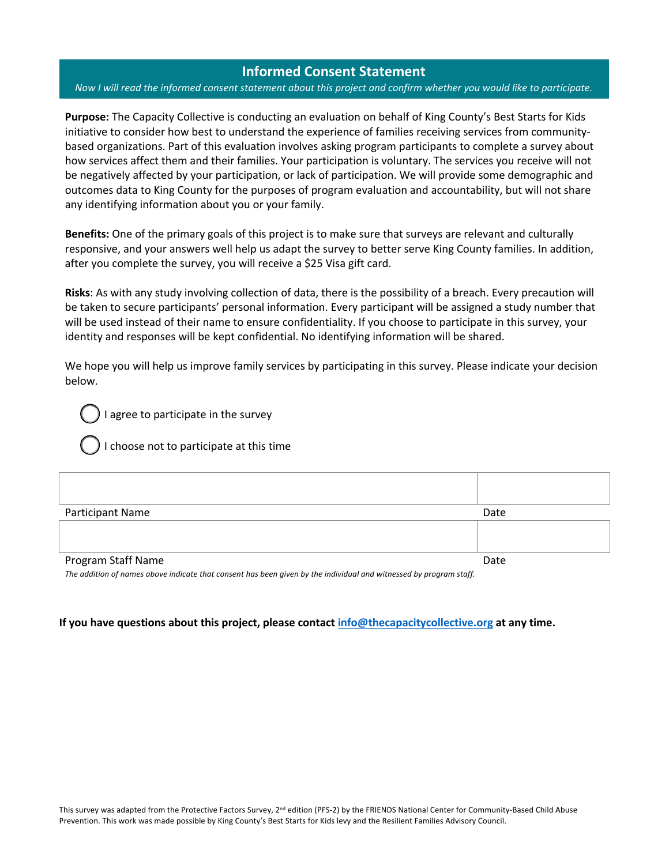# **Informed Consent Statement**

#### *Now I will read the informed consent statement about this project and confirm whether you would like to participate.*

**Purpose:** The Capacity Collective is conducting an evaluation on behalf of King County's Best Starts for Kids initiative to consider how best to understand the experience of families receiving services from communitybased organizations. Part of this evaluation involves asking program participants to complete a survey about how services affect them and their families. Your participation is voluntary. The services you receive will not be negatively affected by your participation, or lack of participation. We will provide some demographic and outcomes data to King County for the purposes of program evaluation and accountability, but will not share any identifying information about you or your family.

**Benefits:** One of the primary goals of this project is to make sure that surveys are relevant and culturally responsive, and your answers well help us adapt the survey to better serve King County families. In addition, after you complete the survey, you will receive a \$25 Visa gift card.

**Risks**: As with any study involving collection of data, there is the possibility of a breach. Every precaution will be taken to secure participants' personal information. Every participant will be assigned a study number that will be used instead of their name to ensure confidentiality. If you choose to participate in this survey, your identity and responses will be kept confidential. No identifying information will be shared.

We hope you will help us improve family services by participating in this survey. Please indicate your decision below.

agree to participate in the survey



| Participant Name   | Date |
|--------------------|------|
|                    |      |
|                    |      |
| Program Staff Name | Date |

The addition of names above indicate that consent has been given by the individual and witnessed by program staff.

### **If you have questions about this project, please contact info@thecapacitycollective.org at any time.**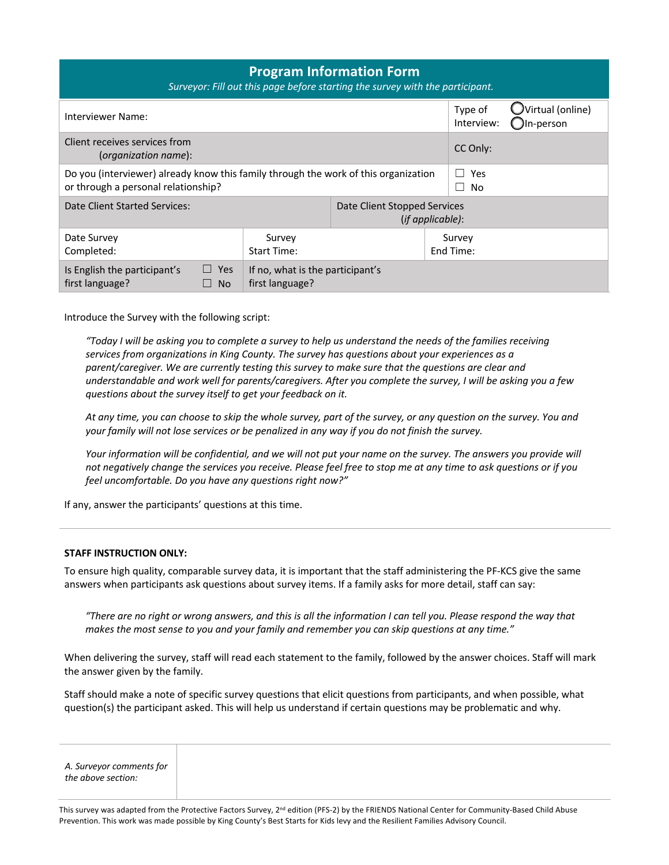| <b>Program Information Form</b><br>Surveyor: Fill out this page before starting the survey with the participant.                                                   |                                                     |  |                       |                                          |  |  |
|--------------------------------------------------------------------------------------------------------------------------------------------------------------------|-----------------------------------------------------|--|-----------------------|------------------------------------------|--|--|
| Interviewer Name:                                                                                                                                                  |                                                     |  | Type of<br>Interview: | $\bigcup$ Virtual (online)<br>JIn-person |  |  |
| Client receives services from<br>(organization name):                                                                                                              |                                                     |  | CC Only:              |                                          |  |  |
| Do you (interviewer) already know this family through the work of this organization<br>Yes<br>$\mathbf{I}$<br>or through a personal relationship?<br>No<br>$\perp$ |                                                     |  |                       |                                          |  |  |
| Date Client Started Services:<br>Date Client Stopped Services<br>$(if$ applicable):                                                                                |                                                     |  |                       |                                          |  |  |
| Date Survey<br>Completed:                                                                                                                                          | Survey<br><b>Start Time:</b>                        |  | Survey<br>End Time:   |                                          |  |  |
| Is English the participant's<br>$\Box$ Yes<br>first language?<br><b>No</b>                                                                                         | If no, what is the participant's<br>first language? |  |                       |                                          |  |  |

Introduce the Survey with the following script:

*"Today I will be asking you to complete a survey to help us understand the needs of the families receiving services from organizations in King County. The survey has questions about your experiences as a parent/caregiver. We are currently testing this survey to make sure that the questions are clear and understandable and work well for parents/caregivers. After you complete the survey, I will be asking you a few questions about the survey itself to get your feedback on it.*

*At any time, you can choose to skip the whole survey, part of the survey, or any question on the survey. You and your family will not lose services or be penalized in any way if you do not finish the survey.*

*Your information will be confidential, and we will not put your name on the survey. The answers you provide will not negatively change the services you receive. Please feel free to stop me at any time to ask questions or if you feel uncomfortable. Do you have any questions right now?"*

If any, answer the participants' questions at this time.

#### **STAFF INSTRUCTION ONLY:**

To ensure high quality, comparable survey data, it is important that the staff administering the PF-KCS give the same answers when participants ask questions about survey items. If a family asks for more detail, staff can say:

*"There are no right or wrong answers, and this is all the information I can tell you. Please respond the way that makes the most sense to you and your family and remember you can skip questions at any time."*

When delivering the survey, staff will read each statement to the family, followed by the answer choices. Staff will mark the answer given by the family.

Staff should make a note of specific survey questions that elicit questions from participants, and when possible, what question(s) the participant asked. This will help us understand if certain questions may be problematic and why.

| A. Surveyor comments for |
|--------------------------|
| the above section:       |
|                          |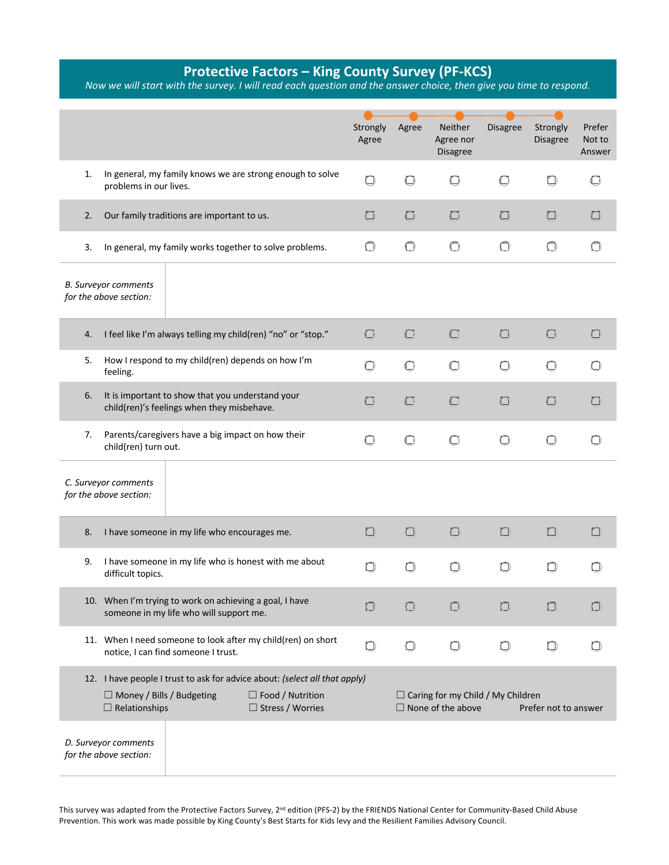# **Protective Factors – King County Survey (PF-KCS)**

*Now we will start with the survey. I will read each question and the answer choice, then give you time to respond.*

|    |                                                          |                                                                                                    |                                                                                                                                  | Strongly<br>Agree | Agree      | Neither<br>Agree nor<br><b>Disagree</b>                              | <b>Disagree</b> | Strongly<br>Disagree | Prefer<br>Not to<br>Answer |
|----|----------------------------------------------------------|----------------------------------------------------------------------------------------------------|----------------------------------------------------------------------------------------------------------------------------------|-------------------|------------|----------------------------------------------------------------------|-----------------|----------------------|----------------------------|
| 1. | problems in our lives.                                   |                                                                                                    | In general, my family knows we are strong enough to solve                                                                        | $\Box$            | $\Box$     | O                                                                    | $\bigcirc$      | $\bigcirc$           | 67                         |
| 2. |                                                          | Our family traditions are important to us.                                                         |                                                                                                                                  | ∩                 | O          | $\Box$                                                               | □               | n                    |                            |
| 3. |                                                          |                                                                                                    | In general, my family works together to solve problems.                                                                          | 0                 | $\bigcirc$ | $\bigcirc$                                                           | $\bigcirc$      | O                    |                            |
|    | <b>B.</b> Surveyor comments<br>for the above section:    |                                                                                                    |                                                                                                                                  |                   |            |                                                                      |                 |                      |                            |
| 4. |                                                          |                                                                                                    | I feel like I'm always telling my child(ren) "no" or "stop."                                                                     | $\Box$            | $\bigcirc$ | $\Box$                                                               | $\Box$          | $\Box$               | ( 1                        |
| 5. | feeling.                                                 | How I respond to my child(ren) depends on how I'm                                                  |                                                                                                                                  | O                 | $\bigcirc$ | $\bigcirc$                                                           | О               | $\bigcap$            |                            |
| 6. |                                                          | It is important to show that you understand your<br>child(ren)'s feelings when they misbehave.     |                                                                                                                                  | $\Box$            | $\Box$     | $\Box$                                                               | □               | ∩                    |                            |
| 7. | child(ren) turn out.                                     | Parents/caregivers have a big impact on how their                                                  |                                                                                                                                  | ∩                 | $\bigcap$  |                                                                      | ∩               |                      |                            |
|    | C. Surveyor comments<br>for the above section:           |                                                                                                    |                                                                                                                                  |                   |            |                                                                      |                 |                      |                            |
| 8. |                                                          | I have someone in my life who encourages me.                                                       |                                                                                                                                  | 0                 | $\Box$     | $\Box$                                                               | $\Box$          | $\Box$               | $\Box$                     |
| 9. | difficult topics.                                        |                                                                                                    | I have someone in my life who is honest with me about                                                                            | O                 | □          | ∩                                                                    | ∩               | O                    |                            |
|    |                                                          | 10. When I'm trying to work on achieving a goal, I have<br>someone in my life who will support me. |                                                                                                                                  | O                 | $\Box$     |                                                                      | ⊓               | П                    | n                          |
|    |                                                          | notice, I can find someone I trust.                                                                | 11. When I need someone to look after my child(ren) on short                                                                     | 0                 | О          | О                                                                    | $\bigcirc$      | $\Box$               |                            |
|    | $\Box$ Money / Bills / Budgeting<br>$\Box$ Relationships |                                                                                                    | 12. I have people I trust to ask for advice about: (select all that apply)<br>$\Box$ Food / Nutrition<br>$\Box$ Stress / Worries |                   |            | $\Box$ Caring for my Child / My Children<br>$\Box$ None of the above |                 | Prefer not to answer |                            |
|    | D. Surveyor comments<br>for the above section:           |                                                                                                    |                                                                                                                                  |                   |            |                                                                      |                 |                      |                            |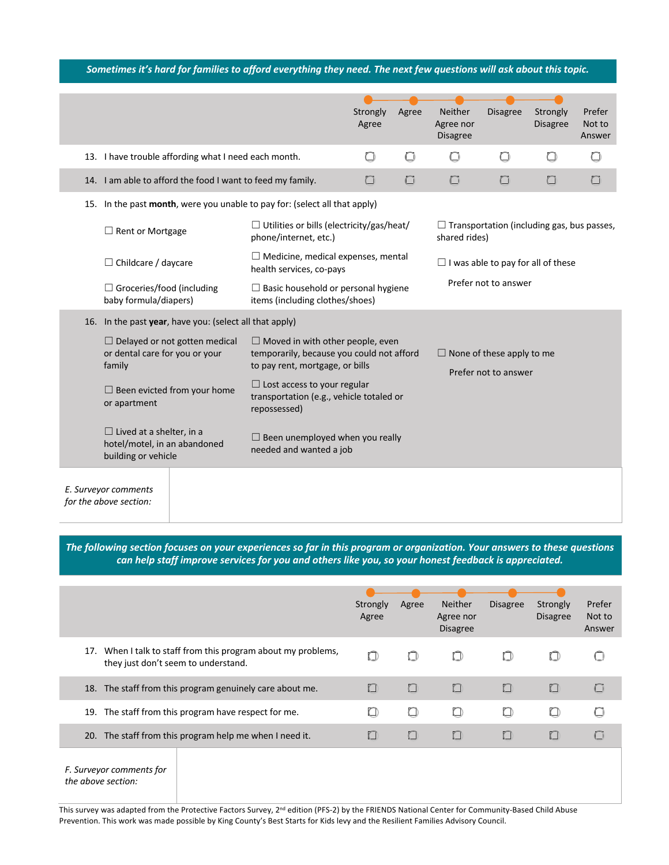# *Sometimes it's hard for families to afford everything they need. The next few questions will ask about this topic.*

|                                                                                        |                                                            |                                                                                                                         | Strongly<br>Agree | Agree | <b>Neither</b><br>Agree nor<br><b>Disagree</b>           | <b>Disagree</b>                                   | Strongly<br><b>Disagree</b> | Prefer<br>Not to<br>Answer |
|----------------------------------------------------------------------------------------|------------------------------------------------------------|-------------------------------------------------------------------------------------------------------------------------|-------------------|-------|----------------------------------------------------------|---------------------------------------------------|-----------------------------|----------------------------|
|                                                                                        | 13. I have trouble affording what I need each month.       |                                                                                                                         | O                 | □     | ∩                                                        | □                                                 | ◘                           |                            |
|                                                                                        | 14. I am able to afford the food I want to feed my family. |                                                                                                                         | □                 | 0     | O                                                        | □                                                 | ◘                           |                            |
| 15. In the past month, were you unable to pay for: (select all that apply)             |                                                            |                                                                                                                         |                   |       |                                                          |                                                   |                             |                            |
| $\Box$ Rent or Mortgage                                                                |                                                            | $\Box$ Utilities or bills (electricity/gas/heat/<br>phone/internet, etc.)                                               |                   |       | shared rides)                                            | $\Box$ Transportation (including gas, bus passes, |                             |                            |
| $\Box$ Childcare / daycare                                                             |                                                            | $\Box$ Medicine, medical expenses, mental<br>health services, co-pays                                                   |                   |       |                                                          | $\Box$ I was able to pay for all of these         |                             |                            |
| $\Box$ Groceries/food (including<br>baby formula/diapers)                              |                                                            | $\Box$ Basic household or personal hygiene<br>items (including clothes/shoes)                                           |                   |       | Prefer not to answer                                     |                                                   |                             |                            |
|                                                                                        | 16. In the past year, have you: (select all that apply)    |                                                                                                                         |                   |       |                                                          |                                                   |                             |                            |
| or dental care for you or your<br>family                                               | $\Box$ Delayed or not gotten medical                       | $\Box$ Moved in with other people, even<br>temporarily, because you could not afford<br>to pay rent, mortgage, or bills |                   |       | $\Box$ None of these apply to me<br>Prefer not to answer |                                                   |                             |                            |
| or apartment                                                                           | $\Box$ Been evicted from your home                         | $\Box$ Lost access to your regular<br>transportation (e.g., vehicle totaled or<br>repossessed)                          |                   |       |                                                          |                                                   |                             |                            |
| $\Box$ Lived at a shelter, in a<br>hotel/motel, in an abandoned<br>building or vehicle |                                                            | $\Box$ Been unemployed when you really<br>needed and wanted a job                                                       |                   |       |                                                          |                                                   |                             |                            |
| E. Surveyor comments<br>for the above section:                                         |                                                            |                                                                                                                         |                   |       |                                                          |                                                   |                             |                            |

*The following section focuses on your experiences so far in this program or organization. Your answers to these questions can help staff improve services for you and others like you, so your honest feedback is appreciated.*

|                                                                                                      | Strongly<br>Agree | Agree  | <b>Neither</b><br>Agree nor<br><b>Disagree</b> | <b>Disagree</b> | Strongly<br><b>Disagree</b> | Prefer<br>Not to<br>Answer |
|------------------------------------------------------------------------------------------------------|-------------------|--------|------------------------------------------------|-----------------|-----------------------------|----------------------------|
| 17. When I talk to staff from this program about my problems,<br>they just don't seem to understand. | O                 | □      | ⊓                                              | ⋂               | O                           |                            |
| 18. The staff from this program genuinely care about me.                                             | $\Box$            | П      | n                                              | n               | $\Box$                      |                            |
| 19. The staff from this program have respect for me.                                                 | ധ                 |        |                                                | ◘               | ▢                           |                            |
| 20. The staff from this program help me when I need it.                                              | $\Box$            | $\Box$ |                                                | O               | $\Box$                      |                            |
| F. Surveyor comments for<br>the above section:<br>$\cdot$ $\cdot$ $\cdot$                            |                   |        | .                                              |                 |                             |                            |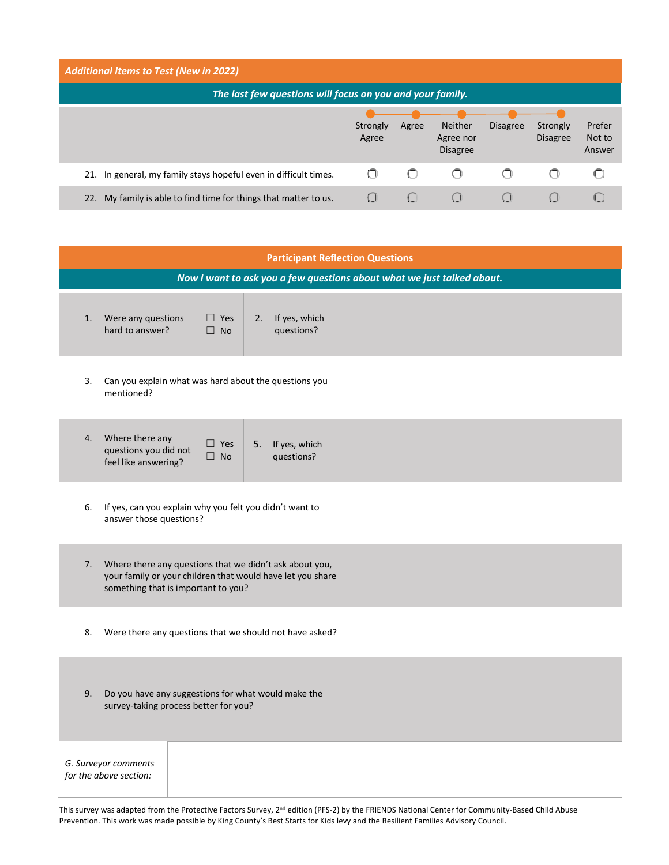| <b>Additional Items to Test (New in 2022)</b>                       |                   |         |                                         |                 |                             |                            |
|---------------------------------------------------------------------|-------------------|---------|-----------------------------------------|-----------------|-----------------------------|----------------------------|
| The last few questions will focus on you and your family.           |                   |         |                                         |                 |                             |                            |
|                                                                     | Strongly<br>Agree | Agree   | Neither<br>Agree nor<br><b>Disagree</b> | <b>Disagree</b> | Strongly<br><b>Disagree</b> | Prefer<br>Not to<br>Answer |
| 21. In general, my family stays hopeful even in difficult times.    |                   | ŧΡ      | (1                                      | ∩               | Ο                           |                            |
| My family is able to find time for things that matter to us.<br>22. |                   | $($ $ $ |                                         |                 |                             |                            |

| <b>Participant Reflection Questions</b>                                                                                                                         |
|-----------------------------------------------------------------------------------------------------------------------------------------------------------------|
| Now I want to ask you a few questions about what we just talked about.                                                                                          |
| Were any questions<br>If yes, which<br>$\Box$ Yes<br>2.<br>1.<br>hard to answer?<br>questions?<br>$\Box$ No                                                     |
| Can you explain what was hard about the questions you<br>3.<br>mentioned?                                                                                       |
| Where there any<br>4.<br>$\Box$ Yes<br>If yes, which<br>5.<br>questions you did not<br>$\Box$ No<br>questions?<br>feel like answering?                          |
| If yes, can you explain why you felt you didn't want to<br>6.<br>answer those questions?                                                                        |
| 7. Where there any questions that we didn't ask about you,<br>your family or your children that would have let you share<br>something that is important to you? |
| Were there any questions that we should not have asked?<br>8.                                                                                                   |
| 9.<br>Do you have any suggestions for what would make the<br>survey-taking process better for you?                                                              |
| G. Surveyor comments<br>for the above section:                                                                                                                  |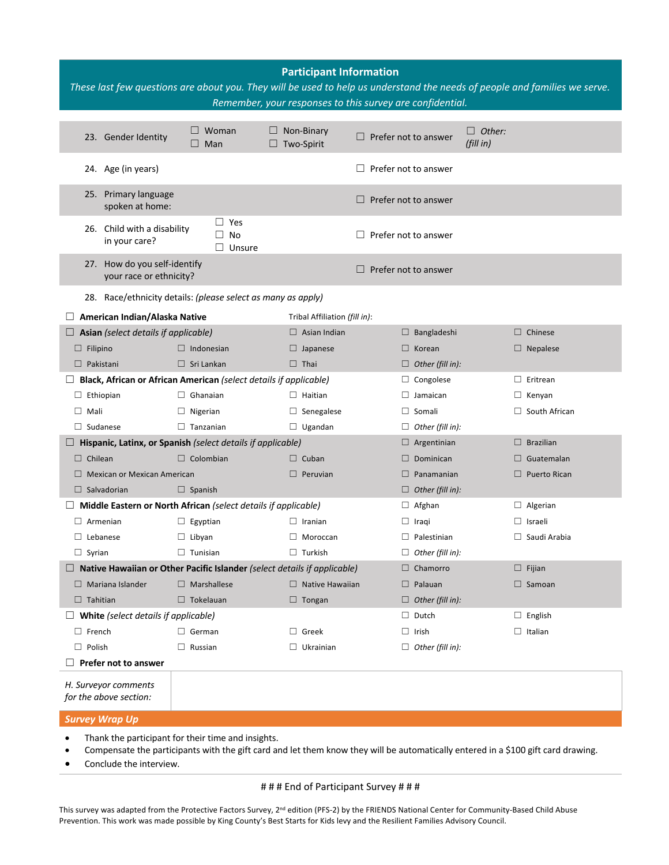| $\Box$ Other:<br>Woman<br>$\Box$ Non-Binary<br>23. Gender Identity<br>$\Box$ Prefer not to answer<br>(fillin)<br>$\Box$ Two-Spirit<br>Man<br>$\Box$<br>Prefer not to answer<br>24. Age (in years)<br>$\Box$<br>25. Primary language<br>$\Box$ Prefer not to answer<br>spoken at home:<br>$\Box$ Yes<br>26. Child with a disability<br>No<br>Prefer not to answer<br>$\Box$<br>in your care?<br>Unsure<br>$\Box$<br>27. How do you self-identify<br>Prefer not to answer<br>your race or ethnicity? |  |
|----------------------------------------------------------------------------------------------------------------------------------------------------------------------------------------------------------------------------------------------------------------------------------------------------------------------------------------------------------------------------------------------------------------------------------------------------------------------------------------------------|--|
|                                                                                                                                                                                                                                                                                                                                                                                                                                                                                                    |  |
|                                                                                                                                                                                                                                                                                                                                                                                                                                                                                                    |  |
|                                                                                                                                                                                                                                                                                                                                                                                                                                                                                                    |  |
|                                                                                                                                                                                                                                                                                                                                                                                                                                                                                                    |  |
|                                                                                                                                                                                                                                                                                                                                                                                                                                                                                                    |  |
| 28. Race/ethnicity details: (please select as many as apply)                                                                                                                                                                                                                                                                                                                                                                                                                                       |  |
| American Indian/Alaska Native<br>Tribal Affiliation (fill in):                                                                                                                                                                                                                                                                                                                                                                                                                                     |  |
| $\Box$ Asian (select details if applicable)<br>$\Box$ Asian Indian<br>$\Box$ Chinese<br>$\Box$ Bangladeshi                                                                                                                                                                                                                                                                                                                                                                                         |  |
| $\Box$ Filipino<br>$\Box$ Indonesian<br>$\Box$ Nepalese<br>$\Box$ Japanese<br>$\Box$ Korean                                                                                                                                                                                                                                                                                                                                                                                                        |  |
| $\Box$ Pakistani<br>$\Box$ Sri Lankan<br>$\Box$ Thai<br>$\Box$ Other (fill in):                                                                                                                                                                                                                                                                                                                                                                                                                    |  |
| $\Box$ Congolese<br>$\Box$ Eritrean<br>Black, African or African American (select details if applicable)                                                                                                                                                                                                                                                                                                                                                                                           |  |
| $\Box$ Ghanaian<br>$\Box$ Ethiopian<br>$\Box$ Haitian<br>$\Box$ Jamaican<br>$\Box$ Kenyan                                                                                                                                                                                                                                                                                                                                                                                                          |  |
| $\Box$ South African<br>$\Box$ Mali<br>$\Box$ Nigerian<br>$\Box$ Senegalese<br>$\Box$ Somali                                                                                                                                                                                                                                                                                                                                                                                                       |  |
| $\Box$ Sudanese<br>$\Box$ Tanzanian<br>$\Box$ Ugandan<br>$\Box$ Other (fill in):                                                                                                                                                                                                                                                                                                                                                                                                                   |  |
| $\Box$ Hispanic, Latinx, or Spanish (select details if applicable)<br>$\Box$ Argentinian<br>$\Box$ Brazilian                                                                                                                                                                                                                                                                                                                                                                                       |  |
| $\Box$ Colombian<br>$\Box$ Chilean<br>$\Box$ Cuban<br>$\Box$ Dominican<br>$\Box$ Guatemalan                                                                                                                                                                                                                                                                                                                                                                                                        |  |
| $\Box$ Panamanian<br>$\Box$ Puerto Rican<br>$\Box$ Mexican or Mexican American<br>$\Box$ Peruvian                                                                                                                                                                                                                                                                                                                                                                                                  |  |
| $\Box$ Salvadorian<br>$\Box$ Spanish<br>$\Box$ Other (fill in):                                                                                                                                                                                                                                                                                                                                                                                                                                    |  |
| Middle Eastern or North African (select details if applicable)<br>$\Box$ Afghan<br>$\Box$ Algerian                                                                                                                                                                                                                                                                                                                                                                                                 |  |
| $\Box$ Armenian<br>$\Box$ Egyptian<br>$\Box$ Iranian<br>$\Box$ Israeli<br>$\Box$ Iragi                                                                                                                                                                                                                                                                                                                                                                                                             |  |
| $\Box$ Saudi Arabia<br>$\Box$ Lebanese<br>$\Box$ Libyan<br>$\Box$ Moroccan<br>$\Box$ Palestinian                                                                                                                                                                                                                                                                                                                                                                                                   |  |
| $\Box$ Syrian<br>$\Box$ Tunisian<br>$\Box$ Turkish<br>$\Box$ Other (fill in):                                                                                                                                                                                                                                                                                                                                                                                                                      |  |
| $\Box$ Native Hawaiian or Other Pacific Islander (select details if applicable)<br>$\Box$ Chamorro<br>$\Box$ Fijian                                                                                                                                                                                                                                                                                                                                                                                |  |
| $\Box$ Mariana Islander<br>$\Box$ Marshallese<br>$\Box$ Native Hawaiian<br>$\Box$ Palauan<br>$\Box$ Samoan                                                                                                                                                                                                                                                                                                                                                                                         |  |
| $\Box$ Tahitian<br>$\Box$ Tokelauan<br>$\Box$ Other (fill in):<br>$\Box$ Tongan                                                                                                                                                                                                                                                                                                                                                                                                                    |  |
| $\Box$ Dutch<br>$\Box$ English<br>$\Box$ White (select details if applicable)                                                                                                                                                                                                                                                                                                                                                                                                                      |  |
| $\Box$ Italian<br>$\Box$ French<br>$\Box$ German<br>$\Box$ Greek<br>$\Box$ Irish                                                                                                                                                                                                                                                                                                                                                                                                                   |  |
| $\Box$ Polish<br>$\Box$ Russian<br>$\Box$ Ukrainian<br>$\Box$ Other (fill in):                                                                                                                                                                                                                                                                                                                                                                                                                     |  |
| Prefer not to answer                                                                                                                                                                                                                                                                                                                                                                                                                                                                               |  |
| H. Surveyor comments<br>for the above section:<br><b>Survey Wrap Up</b>                                                                                                                                                                                                                                                                                                                                                                                                                            |  |

- Thank the participant for their time and insights.
- Compensate the participants with the gift card and let them know they will be automatically entered in a \$100 gift card drawing.
- Conclude the interview.

# # # # End of Participant Survey # # #